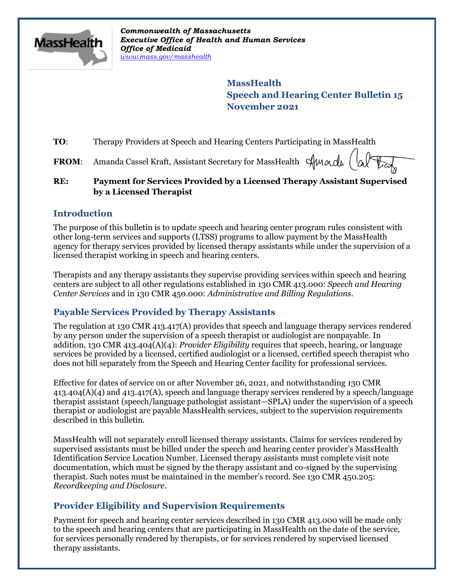

*Commonwealth of Massachusetts Executive Office of Health and Human Services Office of Medicaid [www.mass.gov/masshealth](http://www.mass.gov/masshealth)*

> **MassHealth Speech and Hearing Center Bulletin 15 November 2021**

**TO:** Therapy Providers at Speech and Hearing Centers Participating in MassHealth

FROM: Amanda Cassel Kraft, Assistant Secretary for MassHealth Stundy

### **RE: Payment for Services Provided by a Licensed Therapy Assistant Supervised by a Licensed Therapist**

## **Introduction**

The purpose of this bulletin is to update speech and hearing center program rules consistent with other long-term services and supports (LTSS) programs to allow payment by the MassHealth agency for therapy services provided by licensed therapy assistants while under the supervision of a licensed therapist working in speech and hearing centers.

Therapists and any therapy assistants they supervise providing services within speech and hearing centers are subject to all other regulations established in 130 CMR 413.000: *Speech and Hearing Center Services* and in 130 CMR 450.000: *Administrative and Billing Regulations*.

## **Payable Services Provided by Therapy Assistants**

The regulation at 130 CMR 413.417(A) provides that speech and language therapy services rendered by any person under the supervision of a speech therapist or audiologist are nonpayable. In addition, 130 CMR 413.404(A)(4): *Provider Eligibility* requires that speech, hearing, or language services be provided by a licensed, certified audiologist or a licensed, certified speech therapist who does not bill separately from the Speech and Hearing Center facility for professional services.

Effective for dates of service on or after November 26, 2021, and notwithstanding 130 CMR 413.404(A)(4) and 413.417(A), speech and language therapy services rendered by a speech/language therapist assistant (speech/language pathologist assistant—SPLA) under the supervision of a speech therapist or audiologist are payable MassHealth services, subject to the supervision requirements described in this bulletin.

MassHealth will not separately enroll licensed therapy assistants. Claims for services rendered by supervised assistants must be billed under the speech and hearing center provider's MassHealth Identification Service Location Number. Licensed therapy assistants must complete visit note documentation, which must be signed by the therapy assistant and co-signed by the supervising therapist. Such notes must be maintained in the member's record. See 130 CMR 450.205: *Recordkeeping and Disclosure*.

# **Provider Eligibility and Supervision Requirements**

Payment for speech and hearing center services described in 130 CMR 413.000 will be made only to the speech and hearing centers that are participating in MassHealth on the date of the service, for services personally rendered by therapists, or for services rendered by supervised licensed therapy assistants.